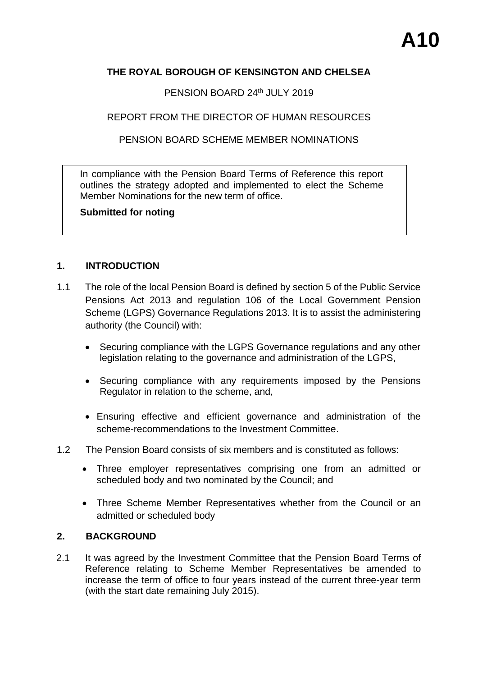## **THE ROYAL BOROUGH OF KENSINGTON AND CHELSEA**

PENSION BOARD 24th JULY 2019

REPORT FROM THE DIRECTOR OF HUMAN RESOURCES

PENSION BOARD SCHEME MEMBER NOMINATIONS

In compliance with the Pension Board Terms of Reference this report outlines the strategy adopted and implemented to elect the Scheme Member Nominations for the new term of office.

**Submitted for noting** 

## **1. INTRODUCTION**

- 1.1 The role of the local Pension Board is defined by section 5 of the Public Service Pensions Act 2013 and regulation 106 of the Local Government Pension Scheme (LGPS) Governance Regulations 2013. It is to assist the administering authority (the Council) with:
	- Securing compliance with the LGPS Governance regulations and any other legislation relating to the governance and administration of the LGPS,
	- Securing compliance with any requirements imposed by the Pensions Regulator in relation to the scheme, and,
	- Ensuring effective and efficient governance and administration of the scheme-recommendations to the Investment Committee.
- 1.2 The Pension Board consists of six members and is constituted as follows:
	- Three employer representatives comprising one from an admitted or scheduled body and two nominated by the Council; and
	- Three Scheme Member Representatives whether from the Council or an admitted or scheduled body

## **2. BACKGROUND**

2.1 It was agreed by the Investment Committee that the Pension Board Terms of Reference relating to Scheme Member Representatives be amended to increase the term of office to four years instead of the current three-year term (with the start date remaining July 2015).